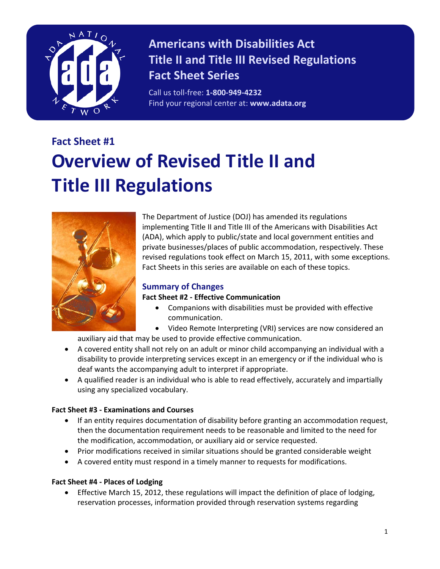

# **Americans with Disabilities Act Title II and Title III Revised Regulations Fact Sheet Series**

Call us toll-free: **1-800-949-4232** Find your regional center at: **www.adata.org**

# **Fact Sheet #1 Overview of Revised Title II and Title III Regulations**



The Department of Justice (DOJ) has amended its regulations implementing Title II and Title III of the Americans with Disabilities Act (ADA), which apply to public/state and local government entities and private businesses/places of public accommodation, respectively. These revised regulations took effect on March 15, 2011, with some exceptions. Fact Sheets in this series are available on each of these topics.

## **Summary of Changes**

#### **Fact Sheet #2 - Effective Communication**

- Companions with disabilities must be provided with effective communication.
- Video Remote Interpreting (VRI) services are now considered an

auxiliary aid that may be used to provide effective communication.

- A covered entity shall not rely on an adult or minor child accompanying an individual with a disability to provide interpreting services except in an emergency or if the individual who is deaf wants the accompanying adult to interpret if appropriate.
- A qualified reader is an individual who is able to read effectively, accurately and impartially using any specialized vocabulary.

#### **Fact Sheet #3 - Examinations and Courses**

- If an entity requires documentation of disability before granting an accommodation request, then the documentation requirement needs to be reasonable and limited to the need for the modification, accommodation, or auxiliary aid or service requested.
- Prior modifications received in similar situations should be granted considerable weight
- A covered entity must respond in a timely manner to requests for modifications.

### **Fact Sheet #4 - Places of Lodging**

• Effective March 15, 2012, these regulations will impact the definition of place of lodging, reservation processes, information provided through reservation systems regarding